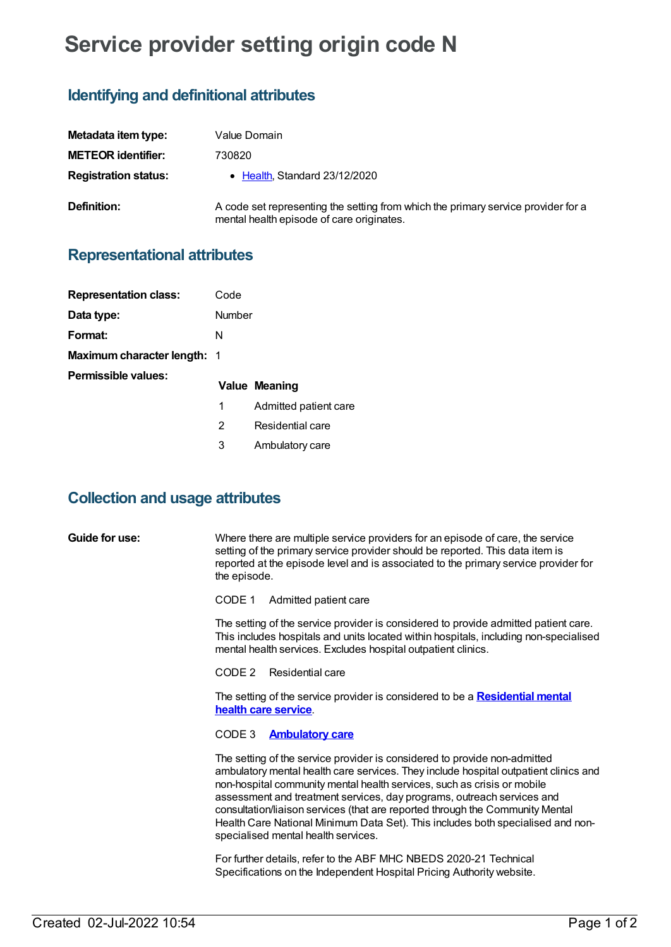# **Service provider setting origin code N**

## **Identifying and definitional attributes**

| Metadata item type:         | Value Domain                                                                                                                   |
|-----------------------------|--------------------------------------------------------------------------------------------------------------------------------|
| <b>METEOR identifier:</b>   | 730820                                                                                                                         |
| <b>Registration status:</b> | $\bullet$ Health. Standard 23/12/2020                                                                                          |
| Definition:                 | A code set representing the setting from which the primary service provider for a<br>mental health episode of care originates. |

### **Representational attributes**

| <b>Representation class:</b>       | Code   |                       |
|------------------------------------|--------|-----------------------|
| Data type:                         | Number |                       |
| Format:                            | N      |                       |
| <b>Maximum character length: 1</b> |        |                       |
| <b>Permissible values:</b>         |        | Value Meaning         |
|                                    | 1      | Admitted patient care |
|                                    | 2      | Residential care      |
|                                    | 3      | Ambulatory care       |

### **Collection and usage attributes**

Where there are multiple service providers for an episode of care, the service setting of the primary service provider should be reported. This data item is reported at the episode level and is associated to the primary service provider for the episode.

CODE 1 Admitted patient care

The setting of the service provider is considered to provide admitted patient care. This includes hospitals and units located within hospitals, including non-specialised mental health services. Excludes hospital outpatient clinics.

CODE 2 Residential care

The setting of the service provider is considered to be a **[Residential](https://meteor.aihw.gov.au/content/373049) mental health care service**.

#### CODE 3 **[Ambulatory](https://meteor.aihw.gov.au/content/722178) care**

The setting of the service provider is considered to provide non-admitted ambulatory mental health care services. They include hospital outpatient clinics and non-hospital community mental health services, such as crisis or mobile assessment and treatment services, day programs, outreach services and consultation/liaison services (that are reported through the Community Mental Health Care National Minimum Data Set). This includes both specialised and nonspecialised mental health services.

For further details, refer to the ABF MHC NBEDS 2020-21 Technical Specifications on the Independent Hospital Pricing Authority website.